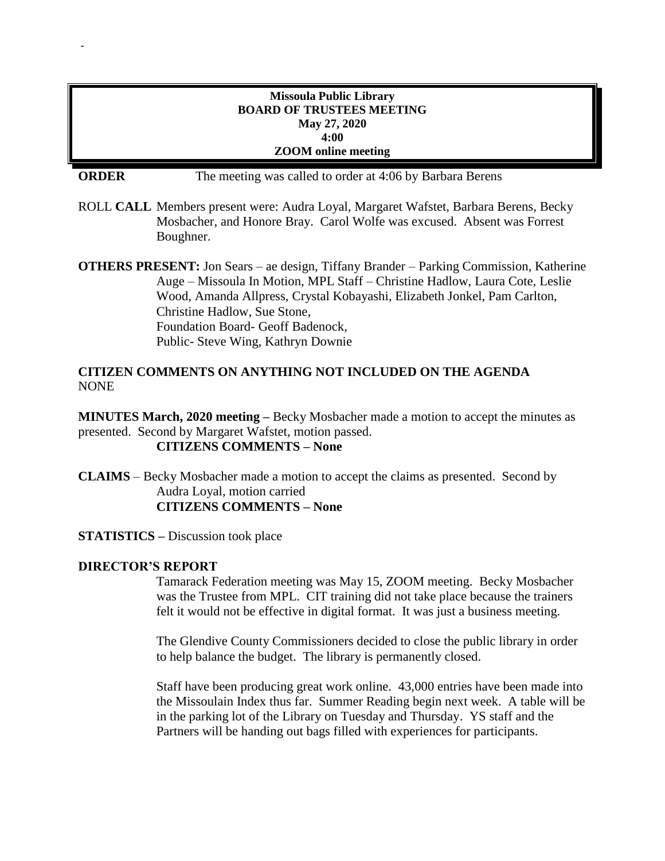## **Missoula Public Library BOARD OF TRUSTEES MEETING May 27, 2020 4:00 ZOOM online meeting**

-

**ORDER** The meeting was called to order at 4:06 by Barbara Berens

ROLL **CALL** Members present were: Audra Loyal, Margaret Wafstet, Barbara Berens, Becky Mosbacher, and Honore Bray. Carol Wolfe was excused. Absent was Forrest Boughner.

**OTHERS PRESENT:** Jon Sears – ae design, Tiffany Brander – Parking Commission, Katherine Auge – Missoula In Motion, MPL Staff – Christine Hadlow, Laura Cote, Leslie Wood, Amanda Allpress, Crystal Kobayashi, Elizabeth Jonkel, Pam Carlton, Christine Hadlow, Sue Stone, Foundation Board- Geoff Badenock, Public- Steve Wing, Kathryn Downie

## **CITIZEN COMMENTS ON ANYTHING NOT INCLUDED ON THE AGENDA** NONE

**MINUTES March, 2020 meeting –** Becky Mosbacher made a motion to accept the minutes as presented. Second by Margaret Wafstet, motion passed.

# **CITIZENS COMMENTS – None**

**CLAIMS** – Becky Mosbacher made a motion to accept the claims as presented. Second by Audra Loyal, motion carried **CITIZENS COMMENTS – None**

**STATISTICS –** Discussion took place

### **DIRECTOR'S REPORT**

Tamarack Federation meeting was May 15, ZOOM meeting. Becky Mosbacher was the Trustee from MPL. CIT training did not take place because the trainers felt it would not be effective in digital format. It was just a business meeting.

The Glendive County Commissioners decided to close the public library in order to help balance the budget. The library is permanently closed.

Staff have been producing great work online. 43,000 entries have been made into the Missoulain Index thus far. Summer Reading begin next week. A table will be in the parking lot of the Library on Tuesday and Thursday. YS staff and the Partners will be handing out bags filled with experiences for participants.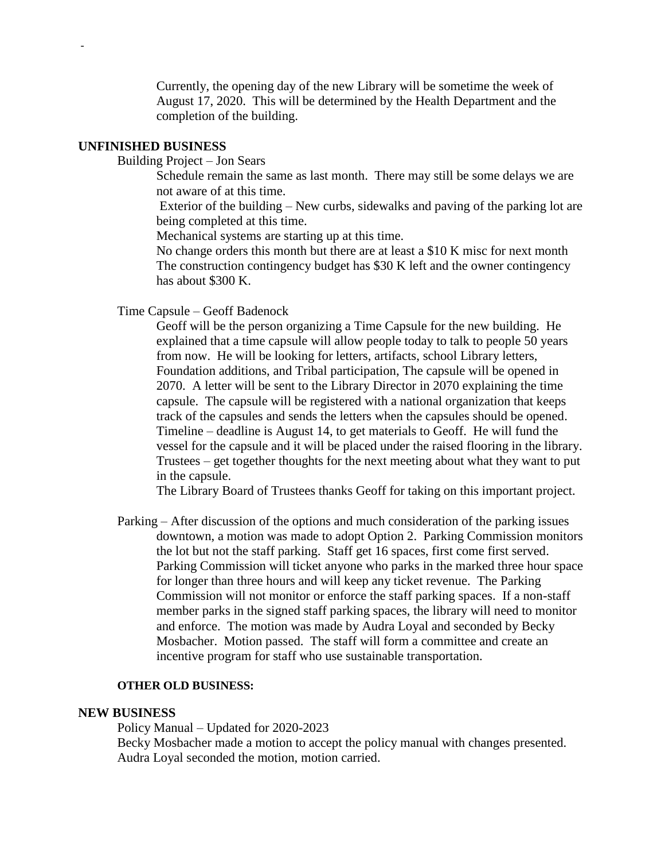Currently, the opening day of the new Library will be sometime the week of August 17, 2020. This will be determined by the Health Department and the completion of the building.

#### **UNFINISHED BUSINESS**

-

Building Project – Jon Sears

Schedule remain the same as last month. There may still be some delays we are not aware of at this time.

Exterior of the building – New curbs, sidewalks and paving of the parking lot are being completed at this time.

Mechanical systems are starting up at this time.

No change orders this month but there are at least a \$10 K misc for next month The construction contingency budget has \$30 K left and the owner contingency has about \$300 K.

Time Capsule – Geoff Badenock

Geoff will be the person organizing a Time Capsule for the new building. He explained that a time capsule will allow people today to talk to people 50 years from now. He will be looking for letters, artifacts, school Library letters, Foundation additions, and Tribal participation, The capsule will be opened in 2070. A letter will be sent to the Library Director in 2070 explaining the time capsule. The capsule will be registered with a national organization that keeps track of the capsules and sends the letters when the capsules should be opened. Timeline – deadline is August 14, to get materials to Geoff. He will fund the vessel for the capsule and it will be placed under the raised flooring in the library. Trustees – get together thoughts for the next meeting about what they want to put in the capsule.

The Library Board of Trustees thanks Geoff for taking on this important project.

Parking – After discussion of the options and much consideration of the parking issues downtown, a motion was made to adopt Option 2. Parking Commission monitors the lot but not the staff parking. Staff get 16 spaces, first come first served. Parking Commission will ticket anyone who parks in the marked three hour space for longer than three hours and will keep any ticket revenue. The Parking Commission will not monitor or enforce the staff parking spaces. If a non-staff member parks in the signed staff parking spaces, the library will need to monitor and enforce. The motion was made by Audra Loyal and seconded by Becky Mosbacher. Motion passed. The staff will form a committee and create an incentive program for staff who use sustainable transportation.

#### **OTHER OLD BUSINESS:**

#### **NEW BUSINESS**

Policy Manual – Updated for 2020-2023 Becky Mosbacher made a motion to accept the policy manual with changes presented. Audra Loyal seconded the motion, motion carried.